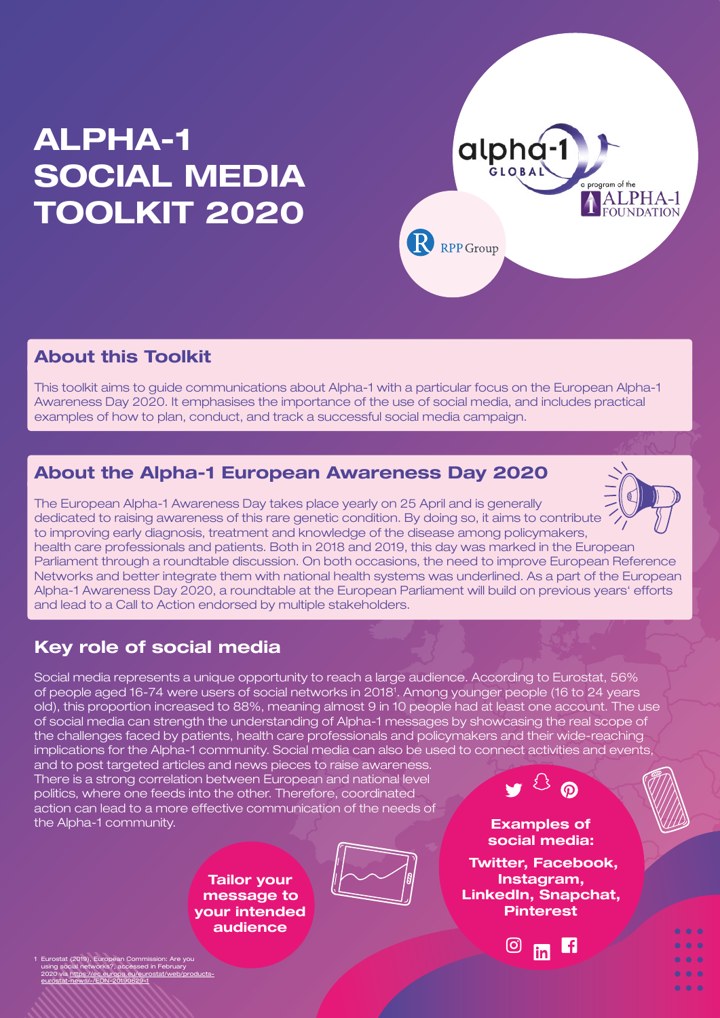# **ALPHA-1 SOCIAL MEDIA TOOLKIT 2020**



# **About this Toolkit**

This toolkit aims to guide communications about Alpha-1 with a particular focus on the European Alpha-1 Awareness Day 2020. It emphasises the importance of the use of social media, and includes practical examples of how to plan, conduct, and track a successful social media campaign.

### **About the Alpha-1 European Awareness Day 2020**

The European Alpha-1 Awareness Day takes place yearly on 25 April and is generally dedicated to raising awareness of this rare genetic condition. By doing so, it aims to contribute to improving early diagnosis, treatment and knowledge of the disease among policymakers, health care professionals and patients. Both in 2018 and 2019, this day was marked in the European Parliament through a roundtable discussion. On both occasions, the need to improve European Reference Networks and better integrate them with national health systems was underlined. As a part of the European Alpha-1 Awareness Day 2020, a roundtable at the European Parliament will build on previous years' efforts and lead to a Call to Action endorsed by multiple stakeholders.

# **Key role of social media**

Social media represents a unique opportunity to reach a large audience. According to Eurostat, 56% of people aged 16-74 were users of social networks in 20181 . Among younger people (16 to 24 years old), this proportion increased to 88%, meaning almost 9 in 10 people had at least one account. The use of social media can strength the understanding of Alpha-1 messages by showcasing the real scope of the challenges faced by patients, health care professionals and policymakers and their wide-reaching implications for the Alpha-1 community. Social media can also be used to connect activities and events,

and to post targeted articles and news pieces to raise awareness. There is a strong correlation between European and national level politics, where one feeds into the other. Therefore, coordinated action can lead to a more effective communication of the needs of the Alpha-1 community. **Examples of** 

> **Tailor your message to your intended audience**



**social media:**

 **Twitter, Facebook, Instagram, LinkedIn, Snapchat, Pinterest**

m

 $\bullet$   $\bullet$   $\bullet$ 

(ට)

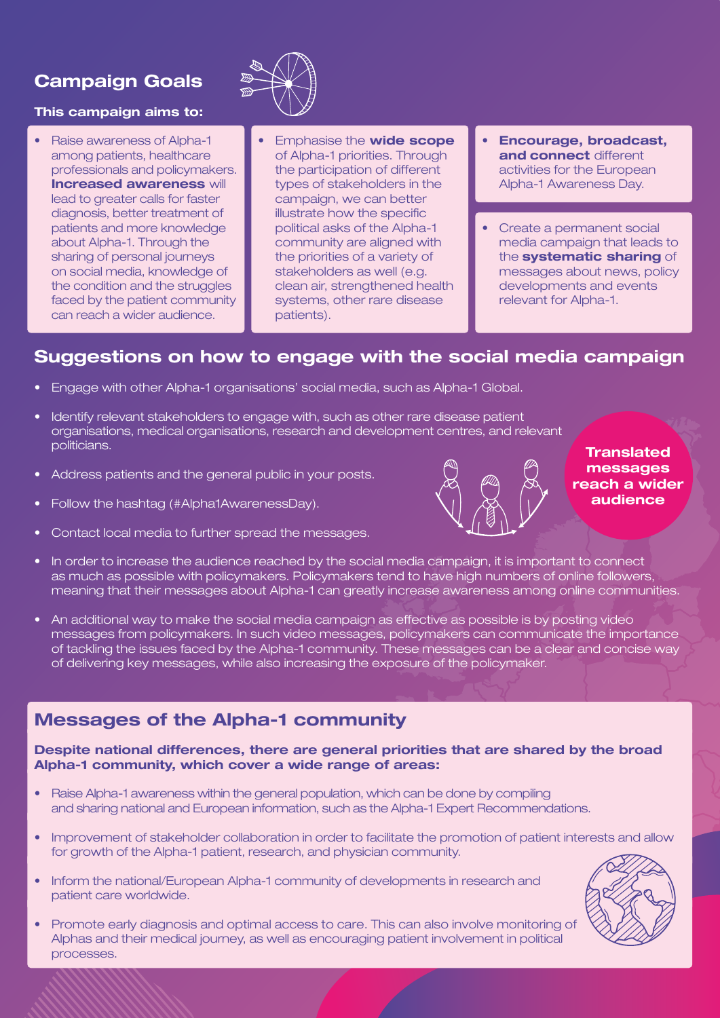# **Campaign Goals**

#### **This campaign aims to:**

• Raise awareness of Alpha-1 among patients, healthcare professionals and policymakers. **Increased awareness** will lead to greater calls for faster diagnosis, better treatment of patients and more knowledge about Alpha-1. Through the sharing of personal journeys on social media, knowledge of the condition and the struggles faced by the patient community can reach a wider audience.



- Emphasise the **wide scope**  of Alpha-1 priorities. Through the participation of different types of stakeholders in the campaign, we can better illustrate how the specific political asks of the Alpha-1 community are aligned with the priorities of a variety of stakeholders as well (e.g. clean air, strengthened health systems, other rare disease patients).
- **Encourage, broadcast, and connect** different activities for the European Alpha-1 Awareness Day.
- Create a permanent social media campaign that leads to the **systematic sharing** of messages about news, policy developments and events relevant for Alpha-1.

#### **Suggestions on how to engage with the social media campaign**

- Engage with other Alpha-1 organisations' social media, such as Alpha-1 Global.
- Identify relevant stakeholders to engage with, such as other rare disease patient organisations, medical organisations, research and development centres, and relevant politicians.
- Address patients and the general public in your posts.
- Follow the hashtag (#Alpha1AwarenessDay).
- Contact local media to further spread the messages.



**Translated messages reach a wider audience**

- In order to increase the audience reached by the social media campaign, it is important to connect as much as possible with policymakers. Policymakers tend to have high numbers of online followers, meaning that their messages about Alpha-1 can greatly increase awareness among online communities.
- An additional way to make the social media campaign as effective as possible is by posting video messages from policymakers. In such video messages, policymakers can communicate the importance of tackling the issues faced by the Alpha-1 community. These messages can be a clear and concise way of delivering key messages, while also increasing the exposure of the policymaker.

### **Messages of the Alpha-1 community**

**Despite national differences, there are general priorities that are shared by the broad Alpha-1 community, which cover a wide range of areas:**

- Raise Alpha-1 awareness within the general population, which can be done by compiling and sharing national and European information, such as the Alpha-1 Expert Recommendations.
- Improvement of stakeholder collaboration in order to facilitate the promotion of patient interests and allow for growth of the Alpha-1 patient, research, and physician community.
- Inform the national/European Alpha-1 community of developments in research and patient care worldwide.
- Promote early diagnosis and optimal access to care. This can also involve monitoring of Alphas and their medical journey, as well as encouraging patient involvement in political processes.